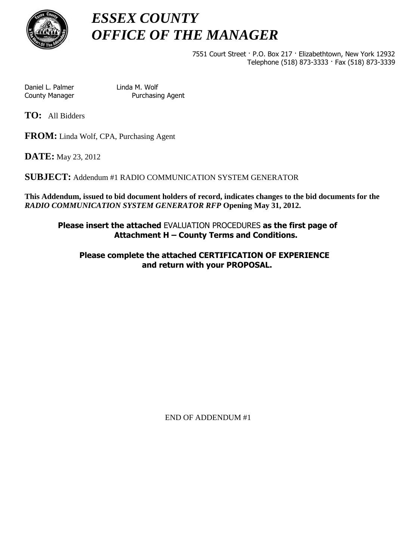

# *ESSEX COUNTY OFFICE OF THE MANAGER*

7551 Court Street · P.O. Box 217 · Elizabethtown, New York 12932 Telephone (518) 873-3333 · Fax (518) 873-3339

Daniel L. Palmer Linda M. Wolf County Manager Purchasing Agent

**TO:** All Bidders

**FROM:** Linda Wolf, CPA, Purchasing Agent

**DATE:** May 23, 2012

**SUBJECT:** Addendum #1 RADIO COMMUNICATION SYSTEM GENERATOR

**This Addendum, issued to bid document holders of record, indicates changes to the bid documents for the**  *RADIO COMMUNICATION SYSTEM GENERATOR RFP* **Opening May 31, 2012.** 

**Please insert the attached** EVALUATION PROCEDURES **as the first page of Attachment H – County Terms and Conditions.** 

**Please complete the attached CERTIFICATION OF EXPERIENCE and return with your PROPOSAL.** 

END OF ADDENDUM #1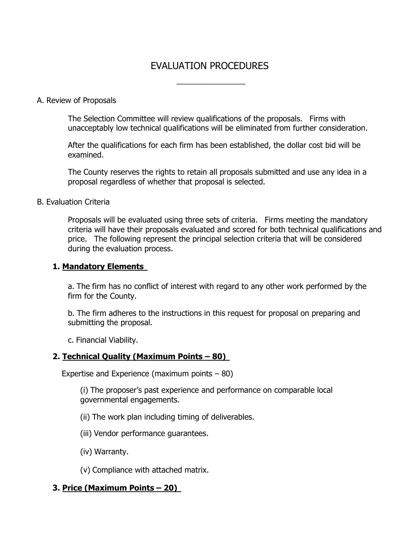# EVALUATION PROCEDURES

 $\overline{\phantom{a}}$ 

#### A. Review of Proposals

The Selection Committee will review qualifications of the proposals. Firms with unacceptably low technical qualifications will be eliminated from further consideration.

After the qualifications for each firm has been established, the dollar cost bid will be examined.

The County reserves the rights to retain all proposals submitted and use any idea in a proposal regardless of whether that proposal is selected.

#### B. Evaluation Criteria

Proposals will be evaluated using three sets of criteria. Firms meeting the mandatory criteria will have their proposals evaluated and scored for both technical qualifications and price. The following represent the principal selection criteria that will be considered during the evaluation process.

#### **1. Mandatory Elements**

a. The firm has no conflict of interest with regard to any other work performed by the firm for the County.

b. The firm adheres to the instructions in this request for proposal on preparing and submitting the proposal.

c. Financial Viability.

#### **2. Technical Quality (Maximum Points – 80)**

Expertise and Experience (maximum points – 80)

(i) The proposer's past experience and performance on comparable local governmental engagements.

- (ii) The work plan including timing of deliverables.
- (iii) Vendor performance guarantees.
- (iv) Warranty.

(v) Compliance with attached matrix.

### **3. Price (Maximum Points – 20)**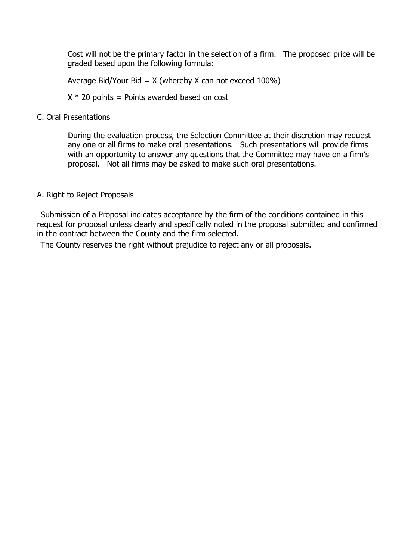Cost will not be the primary factor in the selection of a firm. The proposed price will be graded based upon the following formula:

Average Bid/Your Bid =  $X$  (whereby X can not exceed 100%)

 $X * 20$  points = Points awarded based on cost

#### C. Oral Presentations

During the evaluation process, the Selection Committee at their discretion may request any one or all firms to make oral presentations. Such presentations will provide firms with an opportunity to answer any questions that the Committee may have on a firm's proposal. Not all firms may be asked to make such oral presentations.

#### A. Right to Reject Proposals

Submission of a Proposal indicates acceptance by the firm of the conditions contained in this request for proposal unless clearly and specifically noted in the proposal submitted and confirmed in the contract between the County and the firm selected.

The County reserves the right without prejudice to reject any or all proposals.